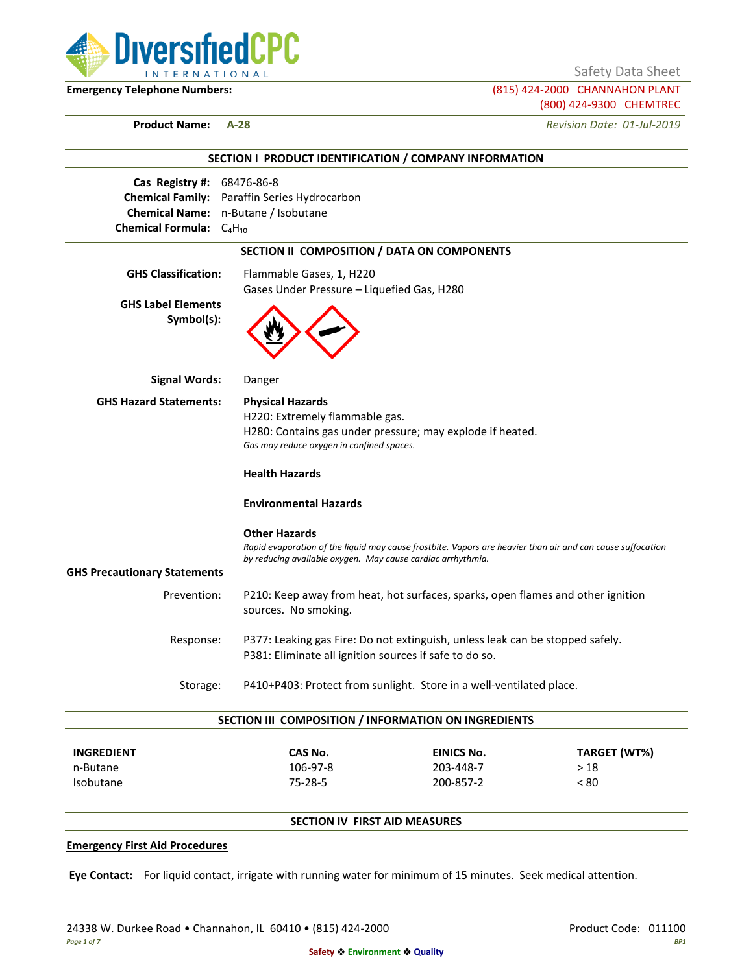

Safety Data Sheet

**Emergency Telephone Numbers:** (815) 424-2000 CHANNAHON PLANT (800) 424-9300 CHEMTREC

**Product Name: A-28** *Revision Date: 01-Jul-2019*

|                                         | SECTION I PRODUCT IDENTIFICATION / COMPANY INFORMATION                                                                                                                    |
|-----------------------------------------|---------------------------------------------------------------------------------------------------------------------------------------------------------------------------|
| Cas Registry #: 68476-86-8              |                                                                                                                                                                           |
|                                         | <b>Chemical Family:</b> Paraffin Series Hydrocarbon                                                                                                                       |
|                                         | Chemical Name: n-Butane / Isobutane                                                                                                                                       |
| Chemical Formula: $C_4H_{10}$           |                                                                                                                                                                           |
|                                         | SECTION II COMPOSITION / DATA ON COMPONENTS                                                                                                                               |
| <b>GHS Classification:</b>              | Flammable Gases, 1, H220                                                                                                                                                  |
|                                         | Gases Under Pressure - Liquefied Gas, H280                                                                                                                                |
| <b>GHS Label Elements</b><br>Symbol(s): |                                                                                                                                                                           |
| <b>Signal Words:</b>                    | Danger                                                                                                                                                                    |
| <b>GHS Hazard Statements:</b>           | <b>Physical Hazards</b>                                                                                                                                                   |
|                                         | H220: Extremely flammable gas.                                                                                                                                            |
|                                         | H280: Contains gas under pressure; may explode if heated.<br>Gas may reduce oxygen in confined spaces.                                                                    |
|                                         | <b>Health Hazards</b>                                                                                                                                                     |
|                                         | <b>Environmental Hazards</b>                                                                                                                                              |
|                                         | <b>Other Hazards</b>                                                                                                                                                      |
|                                         | Rapid evaporation of the liquid may cause frostbite. Vapors are heavier than air and can cause suffocation<br>by reducing available oxygen. May cause cardiac arrhythmia. |
| <b>GHS Precautionary Statements</b>     |                                                                                                                                                                           |
| Prevention:                             | P210: Keep away from heat, hot surfaces, sparks, open flames and other ignition<br>sources. No smoking.                                                                   |
| Response:                               | P377: Leaking gas Fire: Do not extinguish, unless leak can be stopped safely.                                                                                             |
|                                         | P381: Eliminate all ignition sources if safe to do so.                                                                                                                    |
| Storage:                                | P410+P403: Protect from sunlight. Store in a well-ventilated place.                                                                                                       |

| <b>INGREDIENT</b> | CAS No.  | <b>EINICS No.</b> | TARGET (WT%) |
|-------------------|----------|-------------------|--------------|
| n-Butane          | 106-97-8 | 203-448-7         | > 18         |
| <b>Isobutane</b>  | 75-28-5  | 200-857-2         | < 80         |

# **SECTION IV FIRST AID MEASURES**

#### **Emergency First Aid Procedures**

**Eye Contact:** For liquid contact, irrigate with running water for minimum of 15 minutes. Seek medical attention.

24338 W. Durkee Road • Channahon, IL 60410 • (815) 424-2000 Product Code: 011100 Product Code: 011100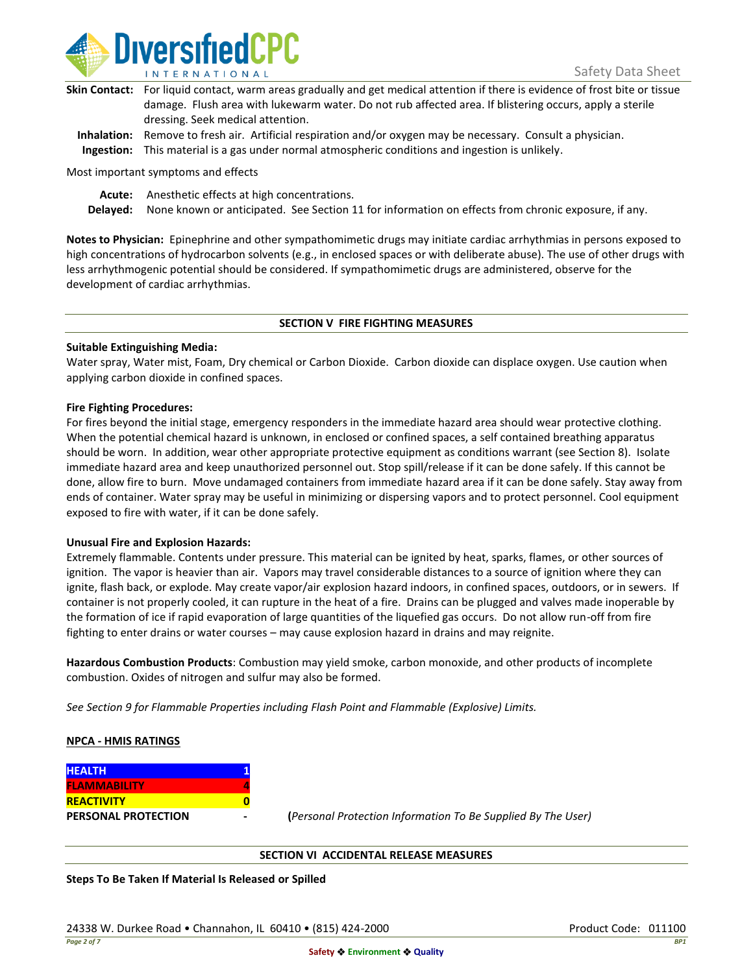

| Skin Contact: For liquid contact, warm areas gradually and get medical attention if there is evidence of frost bite or tissue |
|-------------------------------------------------------------------------------------------------------------------------------|
| damage. Flush area with lukewarm water. Do not rub affected area. If blistering occurs, apply a sterile                       |
| dressing. Seek medical attention.                                                                                             |
|                                                                                                                               |

**Inhalation:** Remove to fresh air. Artificial respiration and/or oxygen may be necessary. Consult a physician. **Ingestion:** This material is a gas under normal atmospheric conditions and ingestion is unlikely.

Most important symptoms and effects

**Acute:** Anesthetic effects at high concentrations.

**Delayed:** None known or anticipated. See Section 11 for information on effects from chronic exposure, if any.

**Notes to Physician:** Epinephrine and other sympathomimetic drugs may initiate cardiac arrhythmias in persons exposed to high concentrations of hydrocarbon solvents (e.g., in enclosed spaces or with deliberate abuse). The use of other drugs with less arrhythmogenic potential should be considered. If sympathomimetic drugs are administered, observe for the development of cardiac arrhythmias.

## **SECTION V FIRE FIGHTING MEASURES**

## **Suitable Extinguishing Media:**

Water spray, Water mist, Foam, Dry chemical or Carbon Dioxide. Carbon dioxide can displace oxygen. Use caution when applying carbon dioxide in confined spaces.

## **Fire Fighting Procedures:**

For fires beyond the initial stage, emergency responders in the immediate hazard area should wear protective clothing. When the potential chemical hazard is unknown, in enclosed or confined spaces, a self contained breathing apparatus should be worn. In addition, wear other appropriate protective equipment as conditions warrant (see Section 8). Isolate immediate hazard area and keep unauthorized personnel out. Stop spill/release if it can be done safely. If this cannot be done, allow fire to burn. Move undamaged containers from immediate hazard area if it can be done safely. Stay away from ends of container. Water spray may be useful in minimizing or dispersing vapors and to protect personnel. Cool equipment exposed to fire with water, if it can be done safely.

## **Unusual Fire and Explosion Hazards:**

Extremely flammable. Contents under pressure. This material can be ignited by heat, sparks, flames, or other sources of ignition. The vapor is heavier than air. Vapors may travel considerable distances to a source of ignition where they can ignite, flash back, or explode. May create vapor/air explosion hazard indoors, in confined spaces, outdoors, or in sewers. If container is not properly cooled, it can rupture in the heat of a fire. Drains can be plugged and valves made inoperable by the formation of ice if rapid evaporation of large quantities of the liquefied gas occurs. Do not allow run-off from fire fighting to enter drains or water courses – may cause explosion hazard in drains and may reignite.

**Hazardous Combustion Products**: Combustion may yield smoke, carbon monoxide, and other products of incomplete combustion. Oxides of nitrogen and sulfur may also be formed.

*See Section 9 for Flammable Properties including Flash Point and Flammable (Explosive) Limits.*

## **NPCA - HMIS RATINGS**

| <b>HEALTH</b>              |  |
|----------------------------|--|
| <b>FLAMMABILITY</b>        |  |
| <b>REACTIVITY</b>          |  |
| <b>PERSONAL PROTECTION</b> |  |

**PERSONAL PROTECTION - (***Personal Protection Information To Be Supplied By The User)*

## **SECTION VI ACCIDENTAL RELEASE MEASURES**

**Steps To Be Taken If Material Is Released or Spilled**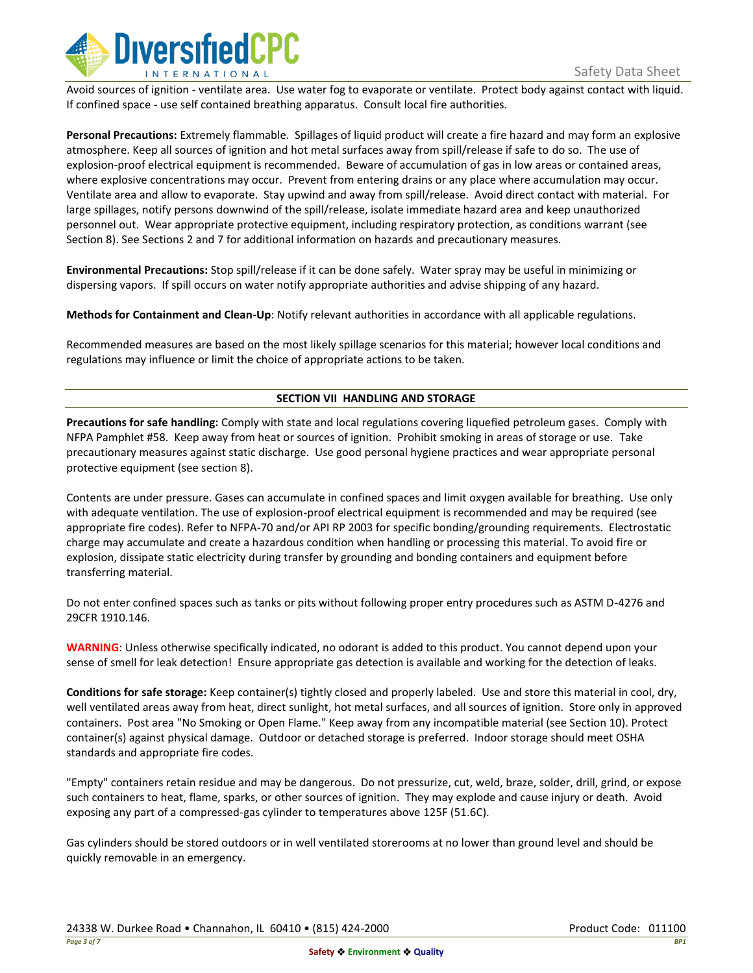

Avoid sources of ignition - ventilate area. Use water fog to evaporate or ventilate. Protect body against contact with liquid. If confined space - use self contained breathing apparatus. Consult local fire authorities.

**Personal Precautions:** Extremely flammable. Spillages of liquid product will create a fire hazard and may form an explosive atmosphere. Keep all sources of ignition and hot metal surfaces away from spill/release if safe to do so. The use of explosion-proof electrical equipment is recommended. Beware of accumulation of gas in low areas or contained areas, where explosive concentrations may occur. Prevent from entering drains or any place where accumulation may occur. Ventilate area and allow to evaporate. Stay upwind and away from spill/release. Avoid direct contact with material. For large spillages, notify persons downwind of the spill/release, isolate immediate hazard area and keep unauthorized personnel out. Wear appropriate protective equipment, including respiratory protection, as conditions warrant (see Section 8). See Sections 2 and 7 for additional information on hazards and precautionary measures.

**Environmental Precautions:** Stop spill/release if it can be done safely. Water spray may be useful in minimizing or dispersing vapors. If spill occurs on water notify appropriate authorities and advise shipping of any hazard.

**Methods for Containment and Clean-Up**: Notify relevant authorities in accordance with all applicable regulations.

Recommended measures are based on the most likely spillage scenarios for this material; however local conditions and regulations may influence or limit the choice of appropriate actions to be taken.

# **SECTION VII HANDLING AND STORAGE**

**Precautions for safe handling:** Comply with state and local regulations covering liquefied petroleum gases. Comply with NFPA Pamphlet #58. Keep away from heat or sources of ignition. Prohibit smoking in areas of storage or use. Take precautionary measures against static discharge. Use good personal hygiene practices and wear appropriate personal protective equipment (see section 8).

Contents are under pressure. Gases can accumulate in confined spaces and limit oxygen available for breathing. Use only with adequate ventilation. The use of explosion-proof electrical equipment is recommended and may be required (see appropriate fire codes). Refer to NFPA-70 and/or API RP 2003 for specific bonding/grounding requirements. Electrostatic charge may accumulate and create a hazardous condition when handling or processing this material. To avoid fire or explosion, dissipate static electricity during transfer by grounding and bonding containers and equipment before transferring material.

Do not enter confined spaces such as tanks or pits without following proper entry procedures such as ASTM D-4276 and 29CFR 1910.146.

**WARNING**: Unless otherwise specifically indicated, no odorant is added to this product. You cannot depend upon your sense of smell for leak detection! Ensure appropriate gas detection is available and working for the detection of leaks.

**Conditions for safe storage:** Keep container(s) tightly closed and properly labeled. Use and store this material in cool, dry, well ventilated areas away from heat, direct sunlight, hot metal surfaces, and all sources of ignition. Store only in approved containers. Post area "No Smoking or Open Flame." Keep away from any incompatible material (see Section 10). Protect container(s) against physical damage. Outdoor or detached storage is preferred. Indoor storage should meet OSHA standards and appropriate fire codes.

"Empty" containers retain residue and may be dangerous. Do not pressurize, cut, weld, braze, solder, drill, grind, or expose such containers to heat, flame, sparks, or other sources of ignition. They may explode and cause injury or death. Avoid exposing any part of a compressed-gas cylinder to temperatures above 125F (51.6C).

Gas cylinders should be stored outdoors or in well ventilated storerooms at no lower than ground level and should be quickly removable in an emergency.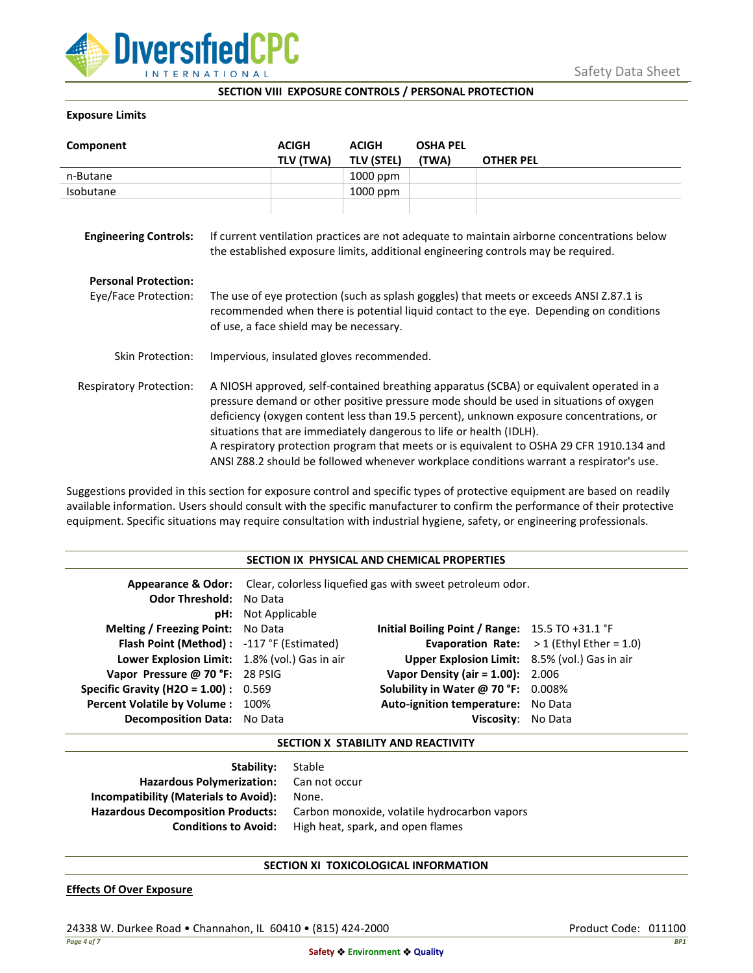

**SECTION VIII EXPOSURE CONTROLS / PERSONAL PROTECTION**

# **Exposure Limits**

| Component                                           |                                                                                                                                                                                                                                                                                                                                                                                                                                                                                                                                            | <b>ACIGH</b> | <b>ACIGH</b>      | <b>OSHA PEL</b> |                  |
|-----------------------------------------------------|--------------------------------------------------------------------------------------------------------------------------------------------------------------------------------------------------------------------------------------------------------------------------------------------------------------------------------------------------------------------------------------------------------------------------------------------------------------------------------------------------------------------------------------------|--------------|-------------------|-----------------|------------------|
|                                                     |                                                                                                                                                                                                                                                                                                                                                                                                                                                                                                                                            | TLV (TWA)    | <b>TLV (STEL)</b> | (TWA)           | <b>OTHER PEL</b> |
| n-Butane                                            |                                                                                                                                                                                                                                                                                                                                                                                                                                                                                                                                            |              | 1000 ppm          |                 |                  |
| Isobutane                                           |                                                                                                                                                                                                                                                                                                                                                                                                                                                                                                                                            |              | 1000 ppm          |                 |                  |
| <b>Engineering Controls:</b>                        | If current ventilation practices are not adequate to maintain airborne concentrations below<br>the established exposure limits, additional engineering controls may be required.                                                                                                                                                                                                                                                                                                                                                           |              |                   |                 |                  |
| <b>Personal Protection:</b><br>Eye/Face Protection: | The use of eye protection (such as splash goggles) that meets or exceeds ANSI Z.87.1 is<br>recommended when there is potential liquid contact to the eye. Depending on conditions<br>of use, a face shield may be necessary.                                                                                                                                                                                                                                                                                                               |              |                   |                 |                  |
| <b>Skin Protection:</b>                             | Impervious, insulated gloves recommended.                                                                                                                                                                                                                                                                                                                                                                                                                                                                                                  |              |                   |                 |                  |
| <b>Respiratory Protection:</b>                      | A NIOSH approved, self-contained breathing apparatus (SCBA) or equivalent operated in a<br>pressure demand or other positive pressure mode should be used in situations of oxygen<br>deficiency (oxygen content less than 19.5 percent), unknown exposure concentrations, or<br>situations that are immediately dangerous to life or health (IDLH).<br>A respiratory protection program that meets or is equivalent to OSHA 29 CFR 1910.134 and<br>ANSI Z88.2 should be followed whenever workplace conditions warrant a respirator's use. |              |                   |                 |                  |

Suggestions provided in this section for exposure control and specific types of protective equipment are based on readily available information. Users should consult with the specific manufacturer to confirm the performance of their protective equipment. Specific situations may require consultation with industrial hygiene, safety, or engineering professionals.

| SECTION IX PHYSICAL AND CHEMICAL PROPERTIES   |                                                                                         |                                                   |                                                    |  |
|-----------------------------------------------|-----------------------------------------------------------------------------------------|---------------------------------------------------|----------------------------------------------------|--|
|                                               | <b>Appearance &amp; Odor:</b> Clear, colorless liquefied gas with sweet petroleum odor. |                                                   |                                                    |  |
| <b>Odor Threshold: No Data</b>                |                                                                                         |                                                   |                                                    |  |
|                                               | <b>pH:</b> Not Applicable                                                               |                                                   |                                                    |  |
| <b>Melting / Freezing Point:</b> No Data      |                                                                                         | Initial Boiling Point / Range: $15.5$ TO +31.1 °F |                                                    |  |
| Flash Point (Method): -117 °F (Estimated)     |                                                                                         |                                                   | <b>Evaporation Rate:</b> $> 1$ (Ethyl Ether = 1.0) |  |
| Lower Explosion Limit: 1.8% (vol.) Gas in air |                                                                                         | Upper Explosion Limit: 8.5% (vol.) Gas in air     |                                                    |  |
| Vapor Pressure @ 70 °F: 28 PSIG               |                                                                                         | <b>Vapor Density (air = 1.00):</b> 2.006          |                                                    |  |
| <b>Specific Gravity (H2O = 1.00):</b> $0.569$ |                                                                                         | Solubility in Water @ 70 °F: 0.008%               |                                                    |  |
| Percent Volatile by Volume: 100%              |                                                                                         | Auto-ignition temperature: No Data                |                                                    |  |
| Decomposition Data: No Data                   |                                                                                         | Viscositv:                                        | No Data                                            |  |

# **SECTION X STABILITY AND REACTIVITY**

| <b>Stability:</b> Stable                 |                                              |
|------------------------------------------|----------------------------------------------|
| Hazardous Polymerization: Can not occur  |                                              |
| Incompatibility (Materials to Avoid):    | None.                                        |
| <b>Hazardous Decomposition Products:</b> | Carbon monoxide, volatile hydrocarbon vapors |
| <b>Conditions to Avoid:</b>              | High heat, spark, and open flames            |

## **SECTION XI TOXICOLOGICAL INFORMATION**

## **Effects Of Over Exposure**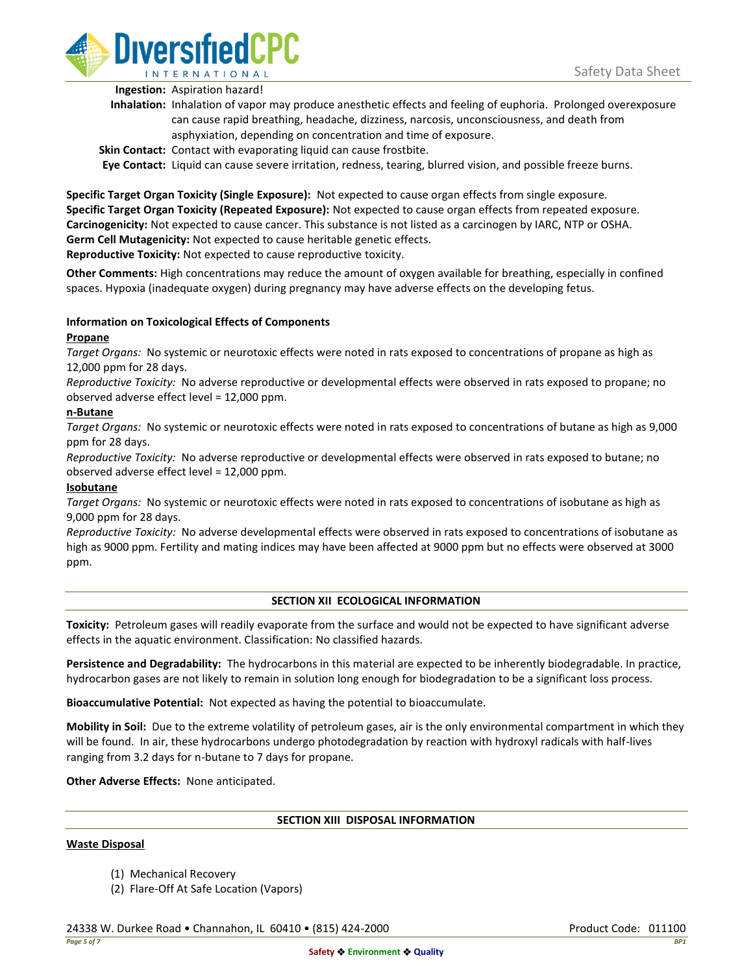

**Ingestion:** Aspiration hazard!

- **Inhalation:** Inhalation of vapor may produce anesthetic effects and feeling of euphoria. Prolonged overexposure can cause rapid breathing, headache, dizziness, narcosis, unconsciousness, and death from asphyxiation, depending on concentration and time of exposure.
- **Skin Contact:** Contact with evaporating liquid can cause frostbite.

**Eye Contact:** Liquid can cause severe irritation, redness, tearing, blurred vision, and possible freeze burns.

**Specific Target Organ Toxicity (Single Exposure):** Not expected to cause organ effects from single exposure. **Specific Target Organ Toxicity (Repeated Exposure):** Not expected to cause organ effects from repeated exposure. **Carcinogenicity:** Not expected to cause cancer. This substance is not listed as a carcinogen by IARC, NTP or OSHA. **Germ Cell Mutagenicity:** Not expected to cause heritable genetic effects. **Reproductive Toxicity:** Not expected to cause reproductive toxicity.

**Other Comments:** High concentrations may reduce the amount of oxygen available for breathing, especially in confined spaces. Hypoxia (inadequate oxygen) during pregnancy may have adverse effects on the developing fetus.

# **Information on Toxicological Effects of Components**

## **Propane**

*Target Organs:* No systemic or neurotoxic effects were noted in rats exposed to concentrations of propane as high as 12,000 ppm for 28 days.

*Reproductive Toxicity:* No adverse reproductive or developmental effects were observed in rats exposed to propane; no observed adverse effect level = 12,000 ppm.

## **n-Butane**

*Target Organs:* No systemic or neurotoxic effects were noted in rats exposed to concentrations of butane as high as 9,000 ppm for 28 days.

*Reproductive Toxicity:* No adverse reproductive or developmental effects were observed in rats exposed to butane; no observed adverse effect level = 12,000 ppm.

## **Isobutane**

*Target Organs:* No systemic or neurotoxic effects were noted in rats exposed to concentrations of isobutane as high as 9,000 ppm for 28 days.

*Reproductive Toxicity:* No adverse developmental effects were observed in rats exposed to concentrations of isobutane as high as 9000 ppm. Fertility and mating indices may have been affected at 9000 ppm but no effects were observed at 3000 ppm.

# **SECTION XII ECOLOGICAL INFORMATION**

**Toxicity:** Petroleum gases will readily evaporate from the surface and would not be expected to have significant adverse effects in the aquatic environment. Classification: No classified hazards.

**Persistence and Degradability:** The hydrocarbons in this material are expected to be inherently biodegradable. In practice, hydrocarbon gases are not likely to remain in solution long enough for biodegradation to be a significant loss process.

**Bioaccumulative Potential:** Not expected as having the potential to bioaccumulate.

**Mobility in Soil:** Due to the extreme volatility of petroleum gases, air is the only environmental compartment in which they will be found. In air, these hydrocarbons undergo photodegradation by reaction with hydroxyl radicals with half-lives ranging from 3.2 days for n-butane to 7 days for propane.

**Other Adverse Effects:** None anticipated.

## **SECTION XIII DISPOSAL INFORMATION**

## **Waste Disposal**

- (1) Mechanical Recovery
- (2) Flare-Off At Safe Location (Vapors)

24338 W. Durkee Road • Channahon, IL 60410 • (815) 424-2000 Product Code: 011100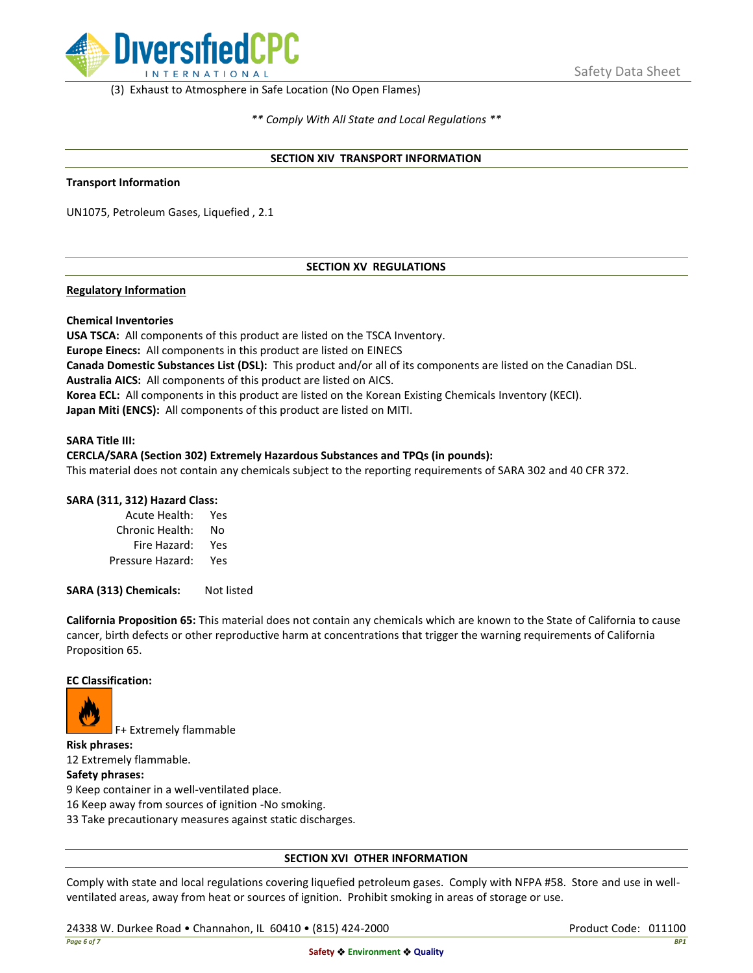

(3) Exhaust to Atmosphere in Safe Location (No Open Flames)

*\*\* Comply With All State and Local Regulations \*\**

#### **SECTION XIV TRANSPORT INFORMATION**

#### **Transport Information**

UN1075, Petroleum Gases, Liquefied , 2.1

# **SECTION XV REGULATIONS**

## **Regulatory Information**

#### **Chemical Inventories**

**USA TSCA:** All components of this product are listed on the TSCA Inventory. **Europe Einecs:** All components in this product are listed on EINECS **Canada Domestic Substances List (DSL):** This product and/or all of its components are listed on the Canadian DSL. **Australia AICS:** All components of this product are listed on AICS. **Korea ECL:** All components in this product are listed on the Korean Existing Chemicals Inventory (KECI). **Japan Miti (ENCS):** All components of this product are listed on MITI.

#### **SARA Title III:**

# **CERCLA/SARA (Section 302) Extremely Hazardous Substances and TPQs (in pounds):**

This material does not contain any chemicals subject to the reporting requirements of SARA 302 and 40 CFR 372.

## **SARA (311, 312) Hazard Class:**

| Acute Health:    | Yes |
|------------------|-----|
| Chronic Health:  | No  |
| Fire Hazard:     | Yes |
| Pressure Hazard: | Yes |

**SARA (313) Chemicals:** Not listed

**California Proposition 65:** This material does not contain any chemicals which are known to the State of California to cause cancer, birth defects or other reproductive harm at concentrations that trigger the warning requirements of California Proposition 65.

## **EC Classification:**



F+ Extremely flammable

**Risk phrases:**

12 Extremely flammable.

**Safety phrases:**

9 Keep container in a well-ventilated place.

16 Keep away from sources of ignition -No smoking.

33 Take precautionary measures against static discharges.

## **SECTION XVI OTHER INFORMATION**

Comply with state and local regulations covering liquefied petroleum gases. Comply with NFPA #58. Store and use in wellventilated areas, away from heat or sources of ignition. Prohibit smoking in areas of storage or use.